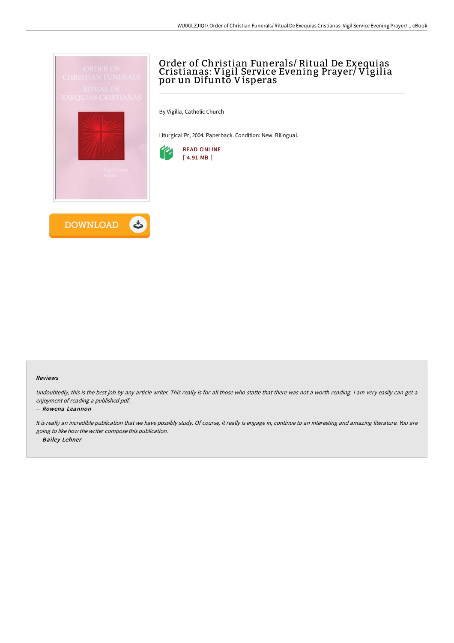



# Order of Christian Funerals/ Ritual De Exequias Cristianas: Vigil Service Evening Prayer/ Vigilia por un Difunto Visperas

By Vigilia, Catholic Church

Liturgical Pr, 2004. Paperback. Condition: New. Bilingual.



#### Reviews

Undoubtedly, this is the best job by any article writer. This really is for all those who statte that there was not a worth reading. I am very easily can get a enjoyment of reading <sup>a</sup> published pdf.

#### -- Rowena Leannon

It is really an incredible publication that we have possibly study. Of course, it really is engage in, continue to an interesting and amazing literature. You are going to like how the writer compose this publication. -- Bailey Lehner